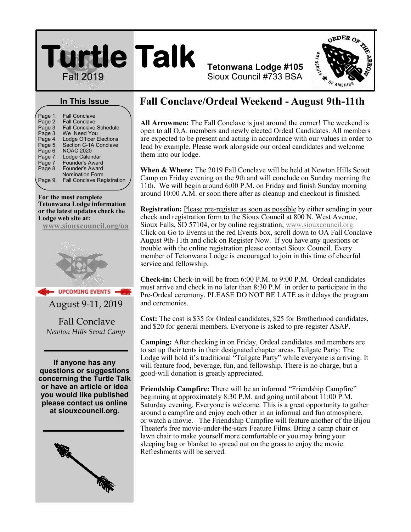## **Turtle Talk**  Fall 2019



#### **In This Issue**

| Page 1. | <b>Fall Conclave</b>              |  |
|---------|-----------------------------------|--|
| Page 2. | <b>Fall Conclave</b>              |  |
| Page 3. | <b>Fall Conclave Schedule</b>     |  |
| Page 3. | We Need You                       |  |
| Page 4. | <b>Lodge Officer Elections</b>    |  |
| Page 5. | Section C-1A Conclave             |  |
| Page 6. | <b>NOAC 2020</b>                  |  |
| Page 7. | Lodge Calendar                    |  |
| Page 7  | <b>Founder's Award</b>            |  |
| Page 8. | Founder's Award                   |  |
|         | <b>Nomination Form</b>            |  |
| Page 9. | <b>Fall Conclave Registration</b> |  |
|         |                                   |  |

**For the most complete Tetonwana Lodge information or the latest updates check the Lodge web site at:**

**[www.siouxcouncil.org/oa](https://www.siouxcouncil.org/oa)**



**UPCOMING EVENTS** August 9-11, 2019

Fall Conclave *Newton Hills Scout Camp*

**If anyone has any questions or suggestions concerning the Turtle Talk or have an article or idea you would like published please contact us online at siouxcouncil.org.**



### **Fall Conclave/Ordeal Weekend - August 9th-11th**

**Tetonwana Lodge #105** Sioux Council #733 BSA

**All Arrowmen:** The Fall Conclave is just around the corner! The weekend is open to all O.A. members and newly elected Ordeal Candidates. All members are expected to be present and acting in accordance with our values in order to lead by example. Please work alongside our ordeal candidates and welcome them into our lodge.

**When & Where:** The 2019 Fall Conclave will be held at Newton Hills Scout Camp on Friday evening on the 9th and will conclude on Sunday morning the 11th. We will begin around 6:00 P.M. on Friday and finish Sunday morning around 10:00 A.M. or soon there after as cleanup and checkout is finished.

**Registration:** Please pre-register as soon as possible by either sending in your check and registration form to the Sioux Council at 800 N. West Avenue, Sioux Falls, SD 57104, or by online registration, [www.siouxcouncil.org.](https://www.siouxcouncil.org/)  Click on Go to Events in the red Events box, scroll down to OA Fall Conclave August 9th-11th and click on Register Now. If you have any questions or trouble with the online registration please contact Sioux Council. Every member of Tetonwana Lodge is encouraged to join in this time of cheerful service and fellowship.

**Check-in:** Check-in will be from 6:00 P.M. to 9:00 P.M. Ordeal candidates must arrive and check in no later than 8:30 P.M. in order to participate in the Pre-Ordeal ceremony. PLEASE DO NOT BE LATE as it delays the program and ceremonies.

**Cost:** The cost is \$35 for Ordeal candidates, \$25 for Brotherhood candidates, and \$20 for general members. Everyone is asked to pre-register ASAP.

**Camping:** After checking in on Friday, Ordeal candidates and members are to set up their tents in their designated chapter areas. Tailgate Party: The Lodge will hold it's traditional "Tailgate Party" while everyone is arriving. It will feature food, beverage, fun, and fellowship. There is no charge, but a good-will donation is greatly appreciated.

**Friendship Campfire:** There will be an informal "Friendship Campfire" beginning at approximately 8:30 P.M. and going until about 11:00 P.M. Saturday evening. Everyone is welcome. This is a great opportunity to gather around a campfire and enjoy each other in an informal and fun atmosphere, or watch a movie. The Friendship Campfire will feature another of the Bijou Theater's free movie-under-the-stars Feature Films. Bring a camp chair or lawn chair to make yourself more comfortable or you may bring your sleeping bag or blanket to spread out on the grass to enjoy the movie. Refreshments will be served.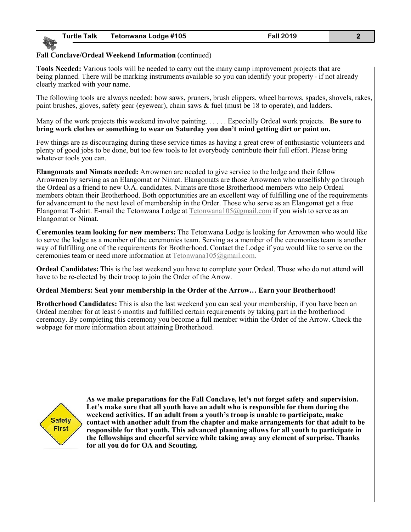#### **Fall Conclave/Ordeal Weekend Information** (continued)

**Tools Needed:** Various tools will be needed to carry out the many camp improvement projects that are being planned. There will be marking instruments available so you can identify your property - if not already clearly marked with your name.

The following tools are always needed: bow saws, pruners, brush clippers, wheel barrows, spades, shovels, rakes, paint brushes, gloves, safety gear (eyewear), chain saws & fuel (must be 18 to operate), and ladders.

Many of the work projects this weekend involve painting. . . . . . Especially Ordeal work projects. **Be sure to bring work clothes or something to wear on Saturday you don't mind getting dirt or paint on.**

Few things are as discouraging during these service times as having a great crew of enthusiastic volunteers and plenty of good jobs to be done, but too few tools to let everybody contribute their full effort. Please bring whatever tools you can.

**Elangomats and Nimats needed:** Arrowmen are needed to give service to the lodge and their fellow Arrowmen by serving as an Elangomat or Nimat. Elangomats are those Arrowmen who unselfishly go through the Ordeal as a friend to new O.A. candidates. Nimats are those Brotherhood members who help Ordeal members obtain their Brotherhood. Both opportunities are an excellent way of fulfilling one of the requirements for advancement to the next level of membership in the Order. Those who serve as an Elangomat get a free Elangomat T-shirt. E-mail the Tetonwana Lodge at [Tetonwana105@gmail.com](mailto:Tetonwana105@gmail.com) if you wish to serve as an Elangomat or Nimat.

**Ceremonies team looking for new members:** The Tetonwana Lodge is looking for Arrowmen who would like to serve the lodge as a member of the ceremonies team. Serving as a member of the ceremonies team is another way of fulfilling one of the requirements for Brotherhood. Contact the Lodge if you would like to serve on the ceremonies team or need more information at [Tetonwana105@gmail.com.](mailto:Tetonwana105@gmail.com)

**Ordeal Candidates:** This is the last weekend you have to complete your Ordeal. Those who do not attend will have to be re-elected by their troop to join the Order of the Arrow.

#### **Ordeal Members: Seal your membership in the Order of the Arrow… Earn your Brotherhood!**

**Brotherhood Candidates:** This is also the last weekend you can seal your membership, if you have been an Ordeal member for at least 6 months and fulfilled certain requirements by taking part in the brotherhood ceremony. By completing this ceremony you become a full member within the Order of the Arrow. Check the webpage for more information about attaining Brotherhood.



**As we make preparations for the Fall Conclave, let's not forget safety and supervision. Let's make sure that all youth have an adult who is responsible for them during the weekend activities. If an adult from a youth's troop is unable to participate, make contact with another adult from the chapter and make arrangements for that adult to be responsible for that youth. This advanced planning allows for all youth to participate in the fellowships and cheerful service while taking away any element of surprise. Thanks for all you do for OA and Scouting.**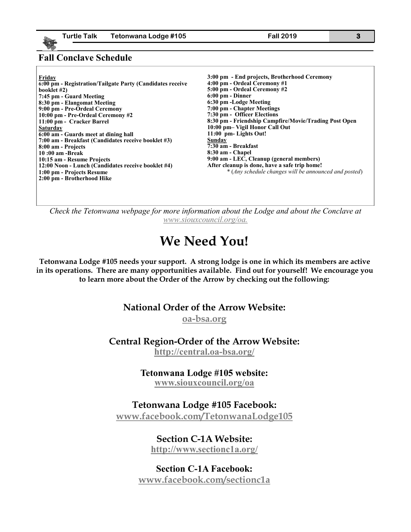#### **Fall Conclave Schedule**

| Friday                                                    | 3:00 pm - End projects, Brotherhood Ceremony          |
|-----------------------------------------------------------|-------------------------------------------------------|
| 6:00 pm - Registration/Tailgate Party (Candidates receive | 4:00 pm - Ordeal Ceremony #1                          |
| booklet #2)                                               | 5:00 pm - Ordeal Ceremony #2                          |
| 7:45 pm - Guard Meeting                                   | $6:00$ pm - Dinner                                    |
| 8:30 pm - Elangomat Meeting                               | 6:30 pm -Lodge Meeting                                |
| 9:00 pm - Pre-Ordeal Ceremony                             | 7:00 pm - Chapter Meetings                            |
| 10:00 pm - Pre-Ordeal Ceremony #2                         | 7:30 pm - Officer Elections                           |
| 11:00 pm - Cracker Barrel                                 | 8:30 pm - Friendship Campfire/Movie/Trading Post Open |
| <b>Saturday</b>                                           | 10:00 pm- Vigil Honor Call Out                        |
| 6:00 am - Guards meet at dining hall                      | 11:00 pm- Lights Out!                                 |
| 7:00 am - Breakfast (Candidates receive booklet #3)       | Sunday                                                |
| 8:00 am - Projects                                        | 7:30 am - Breakfast                                   |
| 10:00 am -Break                                           | 8:30 am - Chapel                                      |
| 10:15 am - Resume Projects                                | 9:00 am - LEC, Cleanup (general members)              |
| 12:00 Noon - Lunch (Candidates receive booklet #4)        | After cleanup is done, have a safe trip home!         |
| 1:00 pm - Projects Resume                                 | * (Any schedule changes will be announced and posted) |
| 2:00 pm - Brotherhood Hike                                |                                                       |
|                                                           |                                                       |

*Check the Tetonwana webpage for more information about the Lodge and about the Conclave at [www.siouxcouncil.org/oa.](https://www.siouxcouncil.org/oa)*

## **We Need You!**

**Tetonwana Lodge #105 needs your support. A strong lodge is one in which its members are active in its operations. There are many opportunities available. Find out for yourself! We encourage you to learn more about the Order of the Arrow by checking out the following:**

#### **National Order of the Arrow Website:**

**[oa-bsa.org](file:///C:/Users/Family/Downloads/oa-bsa.org)**

**Central Region-Order of the Arrow Website:**

**[http://central.oa](http://central.oa-bsa.org/)-bsa.org/**

#### **Tetonwana Lodge #105 website: [www.siouxcouncil.org/oa](https://www.siouxcouncil.org/oa)**

**Tetonwana Lodge #105 Facebook:**

**[www.facebook.com/TetonwanaLodge105](http://www.facebook.com/TetonwanaLodge105)**

## **Section C-1A Website:**

**<http://www.sectionc1a.org/>**

**Section C-1A Facebook: [www.facebook.com/sectionc1a](http://www.facebook.com/sectionc1a)**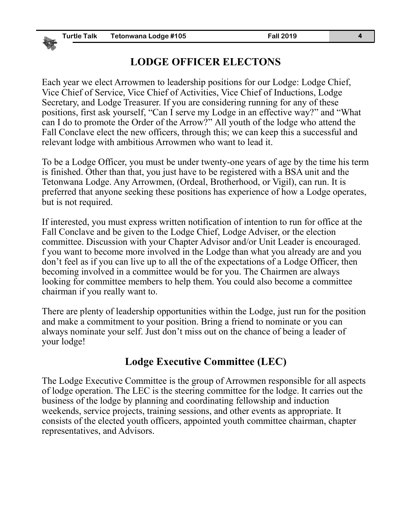#### **LODGE OFFICER ELECTONS**

Each year we elect Arrowmen to leadership positions for our Lodge: Lodge Chief, Vice Chief of Service, Vice Chief of Activities, Vice Chief of Inductions, Lodge Secretary, and Lodge Treasurer. If you are considering running for any of these positions, first ask yourself, "Can I serve my Lodge in an effective way?" and "What can I do to promote the Order of the Arrow?" All youth of the lodge who attend the Fall Conclave elect the new officers, through this; we can keep this a successful and relevant lodge with ambitious Arrowmen who want to lead it.

To be a Lodge Officer, you must be under twenty-one years of age by the time his term is finished. Other than that, you just have to be registered with a BSA unit and the Tetonwana Lodge. Any Arrowmen, (Ordeal, Brotherhood, or Vigil), can run. It is preferred that anyone seeking these positions has experience of how a Lodge operates, but is not required.

If interested, you must express written notification of intention to run for office at the Fall Conclave and be given to the Lodge Chief, Lodge Adviser, or the election committee. Discussion with your Chapter Advisor and/or Unit Leader is encouraged. f you want to become more involved in the Lodge than what you already are and you don't feel as if you can live up to all the of the expectations of a Lodge Officer, then becoming involved in a committee would be for you. The Chairmen are always looking for committee members to help them. You could also become a committee chairman if you really want to.

There are plenty of leadership opportunities within the Lodge, just run for the position and make a commitment to your position. Bring a friend to nominate or you can always nominate your self. Just don't miss out on the chance of being a leader of your lodge!

#### **Lodge Executive Committee (LEC)**

The Lodge Executive Committee is the group of Arrowmen responsible for all aspects of lodge operation. The LEC is the steering committee for the lodge. It carries out the business of the lodge by planning and coordinating fellowship and induction weekends, service projects, training sessions, and other events as appropriate. It consists of the elected youth officers, appointed youth committee chairman, chapter representatives, and Advisors.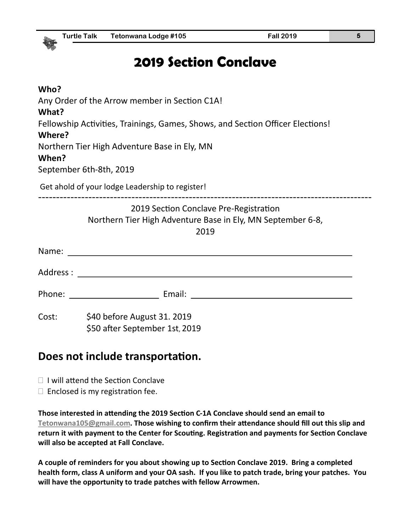## **2019 Section Conclave**

| Who?<br>What? | Any Order of the Arrow member in Section C1A!<br>Fellowship Activities, Trainings, Games, Shows, and Section Officer Elections! |
|---------------|---------------------------------------------------------------------------------------------------------------------------------|
| Where?        | Northern Tier High Adventure Base in Ely, MN                                                                                    |
| When?         | September 6th-8th, 2019                                                                                                         |
|               | Get ahold of your lodge Leadership to register!                                                                                 |
|               | 2019 Section Conclave Pre-Registration<br>Northern Tier High Adventure Base in Ely, MN September 6-8,<br>2019                   |
|               |                                                                                                                                 |
|               |                                                                                                                                 |
|               |                                                                                                                                 |
|               | Cost: \$40 before August 31. 2019<br>\$50 after September 1st, 2019                                                             |

#### **Does not include transportation.**

- □ I will attend the Section Conclave
- $\Box$  Enclosed is my registration fee.

**Those interested in attending the 2019 Section C-1A Conclave should send an email to [Tetonwana105@gmail.com.](mailto:Tetonwana105@gmail.com) Those wishing to confirm their attendance should fill out this slip and return it with payment to the Center for Scouting. Registration and payments for Section Conclave will also be accepted at Fall Conclave.**

**A couple of reminders for you about showing up to Section Conclave 2019. Bring a completed health form, class A uniform and your OA sash. If you like to patch trade, bring your patches. You will have the opportunity to trade patches with fellow Arrowmen.**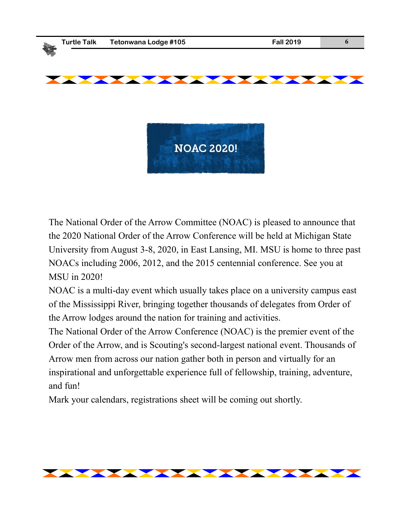

The National Order of the Arrow Committee (NOAC) is pleased to announce that the 2020 National Order of the Arrow Conference will be held at Michigan State University from August 3-8, 2020, in East Lansing, MI. MSU is home to three past NOACs including 2006, 2012, and the 2015 centennial conference. See you at MSU in 2020!

NOAC is a multi-day event which usually takes place on a university campus east of the Mississippi River, bringing together thousands of delegates from Order of the Arrow lodges around the nation for training and activities.

The National Order of the Arrow Conference (NOAC) is the premier event of the Order of the Arrow, and is Scouting's second-largest national event. Thousands of Arrow men from across our nation gather both in person and virtually for an inspirational and unforgettable experience full of fellowship, training, adventure, and fun!

Mark your calendars, registrations sheet will be coming out shortly.

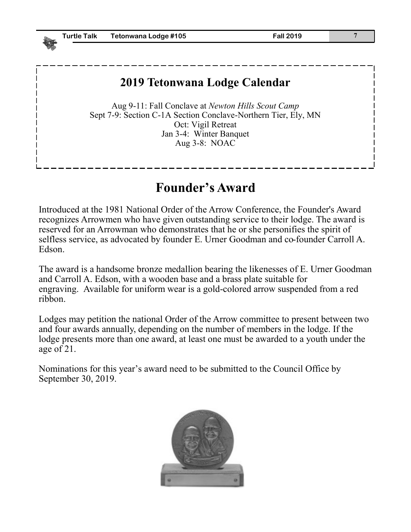#### **2019 Tetonwana Lodge Calendar**

Aug 9-11: Fall Conclave at *Newton Hills Scout Camp* Sept 7-9: Section C-1A Section Conclave-Northern Tier, Ely, MN Oct: Vigil Retreat Jan 3-4: Winter Banquet Aug 3-8: NOAC

## **Founder's Award**

Introduced at the 1981 National Order of the Arrow Conference, the Founder's Award recognizes Arrowmen who have given outstanding service to their lodge. The award is reserved for an Arrowman who demonstrates that he or she personifies the spirit of selfless service, as advocated by founder E. Urner Goodman and co-founder Carroll A. Edson.

The award is a handsome bronze medallion bearing the likenesses of E. Urner Goodman and Carroll A. Edson, with a wooden base and a brass plate suitable for engraving. Available for uniform wear is a gold-colored arrow suspended from a red ribbon.

Lodges may petition the national Order of the Arrow committee to present between two and four awards annually, depending on the number of members in the lodge. If the lodge presents more than one award, at least one must be awarded to a youth under the age of 21.

Nominations for this year's award need to be submitted to the Council Office by September 30, 2019.

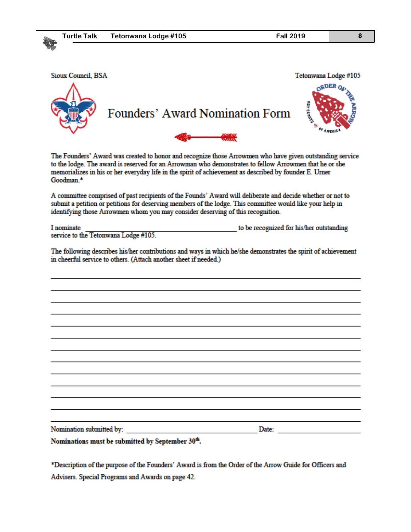| <b>Turtle Talk</b>       | Tetonwana Lodge #105                                                                                                                                                                                                                                                                                                         | <b>Fall 2019</b>                         | 8         |
|--------------------------|------------------------------------------------------------------------------------------------------------------------------------------------------------------------------------------------------------------------------------------------------------------------------------------------------------------------------|------------------------------------------|-----------|
|                          |                                                                                                                                                                                                                                                                                                                              |                                          |           |
|                          |                                                                                                                                                                                                                                                                                                                              |                                          |           |
| Sioux Council, BSA       |                                                                                                                                                                                                                                                                                                                              | Tetonwana Lodge #105                     |           |
|                          |                                                                                                                                                                                                                                                                                                                              |                                          |           |
|                          |                                                                                                                                                                                                                                                                                                                              |                                          |           |
|                          | Founders' Award Nomination Form                                                                                                                                                                                                                                                                                              | <b>435.480</b>                           |           |
|                          |                                                                                                                                                                                                                                                                                                                              |                                          | OF AREN'S |
|                          |                                                                                                                                                                                                                                                                                                                              |                                          |           |
| Goodman.*                | The Founders' Award was created to honor and recognize those Arrowmen who have given outstanding service<br>to the lodge. The award is reserved for an Arrowman who demonstrates to fellow Arrowmen that he or she<br>memorializes in his or her everyday life in the spirit of achievement as described by founder E. Urner |                                          |           |
|                          | A committee comprised of past recipients of the Founds' Award will deliberate and decide whether or not to<br>submit a petition or petitions for deserving members of the lodge. This committee would like your help in<br>identifying those Arrowmen whom you may consider deserving of this recognition.                   |                                          |           |
| I nominate               |                                                                                                                                                                                                                                                                                                                              | to be recognized for his/her outstanding |           |
|                          | service to the Tetonwana Lodge #105.                                                                                                                                                                                                                                                                                         |                                          |           |
|                          | The following describes his/her contributions and ways in which he/she demonstrates the spirit of achievement                                                                                                                                                                                                                |                                          |           |
|                          | in cheerful service to others. (Attach another sheet if needed.)                                                                                                                                                                                                                                                             |                                          |           |
|                          |                                                                                                                                                                                                                                                                                                                              |                                          |           |
|                          |                                                                                                                                                                                                                                                                                                                              |                                          |           |
|                          |                                                                                                                                                                                                                                                                                                                              |                                          |           |
|                          |                                                                                                                                                                                                                                                                                                                              |                                          |           |
|                          |                                                                                                                                                                                                                                                                                                                              |                                          |           |
|                          |                                                                                                                                                                                                                                                                                                                              |                                          |           |
|                          |                                                                                                                                                                                                                                                                                                                              |                                          |           |
|                          |                                                                                                                                                                                                                                                                                                                              |                                          |           |
|                          |                                                                                                                                                                                                                                                                                                                              |                                          |           |
|                          |                                                                                                                                                                                                                                                                                                                              |                                          |           |
|                          |                                                                                                                                                                                                                                                                                                                              |                                          |           |
|                          |                                                                                                                                                                                                                                                                                                                              |                                          |           |
| Nomination submitted by: |                                                                                                                                                                                                                                                                                                                              | Date:                                    |           |

\*Description of the purpose of the Founders' Award is from the Order of the Arrow Guide for Officers and

Advisers. Special Programs and Awards on page 42.

Nominations must be submitted by September 30th.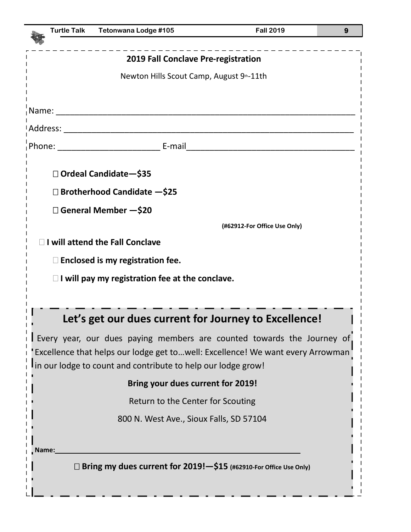| <b>Turtle Talk</b>                                                    | Tetonwana Lodge #105                                                           | <b>Fall 2019</b>             | 9 |  |  |
|-----------------------------------------------------------------------|--------------------------------------------------------------------------------|------------------------------|---|--|--|
|                                                                       |                                                                                |                              |   |  |  |
|                                                                       | 2019 Fall Conclave Pre-registration                                            |                              |   |  |  |
|                                                                       | Newton Hills Scout Camp, August 9th-11th                                       |                              |   |  |  |
|                                                                       |                                                                                |                              |   |  |  |
|                                                                       |                                                                                |                              |   |  |  |
|                                                                       |                                                                                |                              |   |  |  |
|                                                                       |                                                                                |                              |   |  |  |
|                                                                       |                                                                                |                              |   |  |  |
|                                                                       | □ Ordeal Candidate-\$35                                                        |                              |   |  |  |
|                                                                       | $\Box$ Brotherhood Candidate $-$ \$25                                          |                              |   |  |  |
|                                                                       | □ General Member - \$20                                                        |                              |   |  |  |
|                                                                       |                                                                                | (#62912-For Office Use Only) |   |  |  |
|                                                                       | <b>I will attend the Fall Conclave</b>                                         |                              |   |  |  |
|                                                                       | $\Box$ Enclosed is my registration fee.                                        |                              |   |  |  |
|                                                                       | $\Box$ I will pay my registration fee at the conclave.                         |                              |   |  |  |
|                                                                       |                                                                                |                              |   |  |  |
|                                                                       | Let's get our dues current for Journey to Excellence!                          |                              |   |  |  |
|                                                                       | Every year, our dues paying members are counted towards the Journey of         |                              |   |  |  |
|                                                                       | Excellence that helps our lodge get towell: Excellence! We want every Arrowman |                              |   |  |  |
|                                                                       | in our lodge to count and contribute to help our lodge grow!                   |                              |   |  |  |
|                                                                       | Bring your dues current for 2019!                                              |                              |   |  |  |
|                                                                       | Return to the Center for Scouting                                              |                              |   |  |  |
|                                                                       | 800 N. West Ave., Sioux Falls, SD 57104                                        |                              |   |  |  |
|                                                                       |                                                                                |                              |   |  |  |
| Name:                                                                 |                                                                                |                              |   |  |  |
| □ Bring my dues current for 2019! - \$15 (#62910-For Office Use Only) |                                                                                |                              |   |  |  |
|                                                                       |                                                                                |                              |   |  |  |